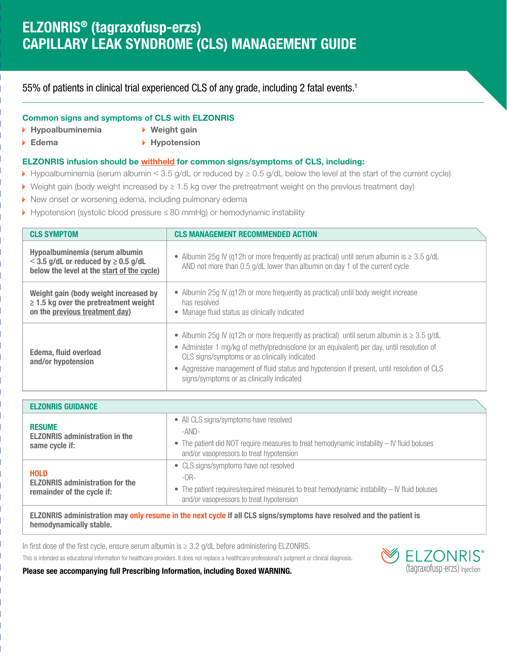# ELZONRIS® (tagraxofusp-erzs) CAPILLARY LEAK SYNDROME (CLS) MANAGEMENT GUIDE

55% of patients in clinical trial experienced CLS of any grade, including 2 fatal events.<sup>1</sup>

## Common signs and symptoms of CLS with ELZONRIS

- ▶ Hypoalbuminemia ▶ Weight gain
	-
- 
- ▶ Edema Network Hypotension

### ELZONRIS infusion should be withheld for common signs/symptoms of CLS, including:

- Hypoalbuminemia (serum albumin < 3.5 g/dL or reduced by ≥ 0.5 g/dL below the level at the start of the current cycle)
- Weight gain (body weight increased by ≥ 1.5 kg over the pretreatment weight on the previous treatment day)
- New onset or worsening edema, including pulmonary edema
- Hypotension (systolic blood pressure ≤ 80 mmHg) or hemodynamic instability

| <b>CLS SYMPTOM</b>                                                                                                         | <b>CLS MANAGEMENT RECOMMENDED ACTION</b>                                                                                                                                                                                                                                                                                                                                                  |  |
|----------------------------------------------------------------------------------------------------------------------------|-------------------------------------------------------------------------------------------------------------------------------------------------------------------------------------------------------------------------------------------------------------------------------------------------------------------------------------------------------------------------------------------|--|
| Hypoalbuminemia (serum albumin<br>$<$ 3.5 g/dL or reduced by $\geq$ 0.5 g/dL<br>below the level at the start of the cycle) | • Albumin 25g IV (q12h or more frequently as practical) until serum albumin is $\geq 3.5$ g/dL<br>AND not more than 0.5 g/dL lower than albumin on day 1 of the current cycle                                                                                                                                                                                                             |  |
| Weight gain (body weight increased by<br>$\geq$ 1.5 kg over the pretreatment weight<br>on the previous treatment day)      | • Albumin 25g IV (q12h or more frequently as practical) until body weight increase<br>has resolved<br>• Manage fluid status as clinically indicated                                                                                                                                                                                                                                       |  |
| Edema, fluid overload<br>and/or hypotension                                                                                | • Albumin 25g IV (q12h or more frequently as practical) until serum albumin is $\geq$ 3.5 g/dL<br>• Administer 1 mg/kg of methylprednisolone (or an equivalent) per day, until resolution of<br>CLS signs/symptoms or as clinically indicated<br>• Aggressive management of fluid status and hypotension if present, until resolution of CLS<br>signs/symptoms or as clinically indicated |  |

| <b>ELZONRIS GUIDANCE</b>                                                            |                                                                                                                                                                                                        |
|-------------------------------------------------------------------------------------|--------------------------------------------------------------------------------------------------------------------------------------------------------------------------------------------------------|
| <b>RESUME</b><br><b>ELZONRIS administration in the</b><br>same cycle if:            | • All CLS signs/symptoms have resolved<br>$-AND-$<br>$\bullet$ The patient did NOT require measures to treat hemodynamic instability $-$ IV fluid boluses<br>and/or vasopressors to treat hypotension  |
| <b>HOLD</b><br><b>ELZONRIS administration for the</b><br>remainder of the cycle if: | • CLS signs/symptoms have not resolved<br>$-OR-$<br>$\bullet$ The patient requires/required measures to treat hemodynamic instability $-$ IV fluid boluses<br>and/or vasopressors to treat hypotension |

ELZONRIS administration may only resume in the next cycle if all CLS signs/symptoms have resolved and the patient is hemodynamically stable.

In first dose of the first cycle, ensure serum albumin is ≥ 3.2 g/dL before administering ELZONRIS.

This is intended as educational information for healthcare providers. It does not replace a healthcare professional's judgment or clinical diagnosis.



Please see accompanying full Prescribing Information, including Boxed WARNING.